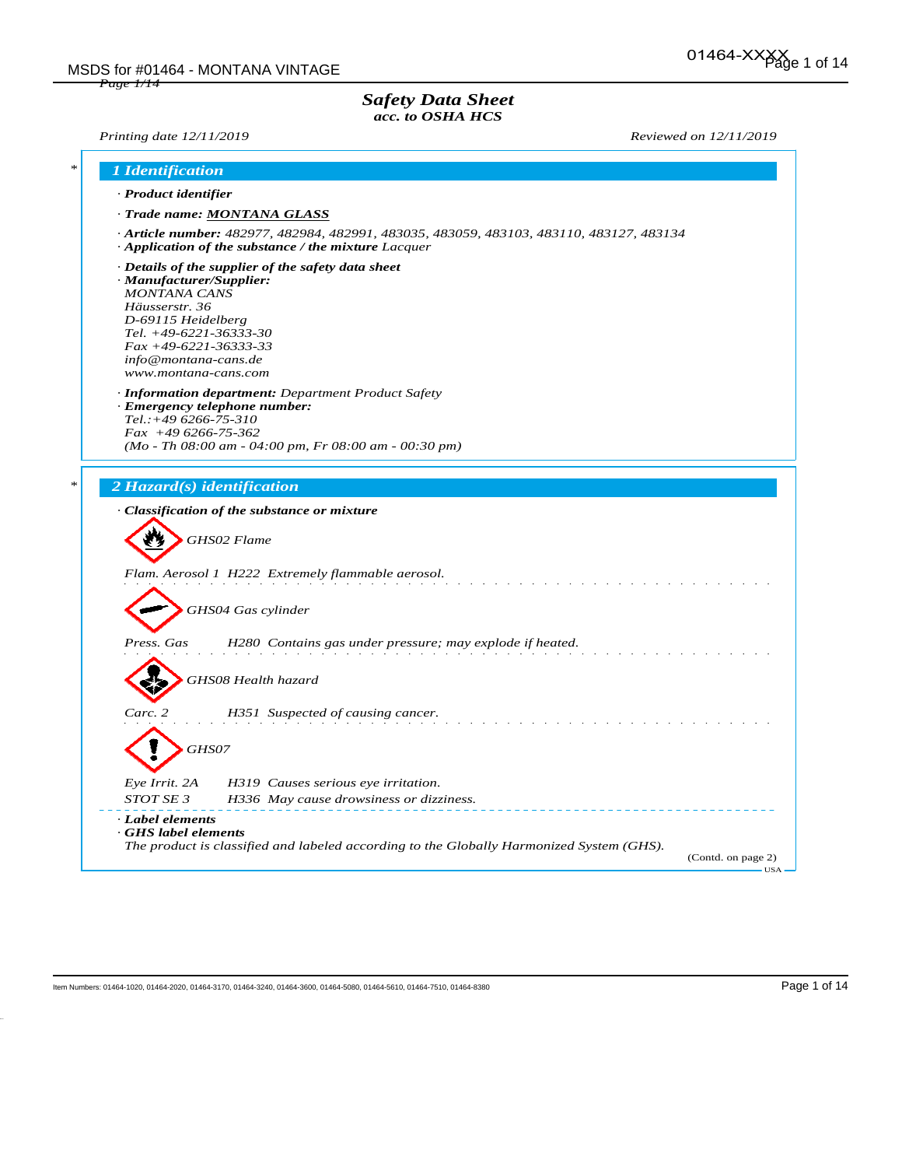## *Safety Data Sheet acc. to OSHA HCS*

*Printing date 12/11/2019 Reviewed on 12/11/2019*

| · Trade name: MONTANA GLASS<br>· Article number: 482977, 482984, 482991, 483035, 483059, 483103, 483110, 483127, 483134<br>$\cdot$ Application of the substance / the mixture Lacquer<br>$\cdot$ Details of the supplier of the safety data sheet<br>· Manufacturer/Supplier:<br><b>MONTANA CANS</b><br>Häusserstr. 36<br>D-69115 Heidelberg<br>Tel. $+49-6221-36333-30$<br>$Fax + 49-6221-36333-33$<br>info@montana-cans.de<br>www.montana-cans.com<br>· Information department: Department Product Safety<br>· Emergency telephone number:<br>$Tel.:+496266-75-310$<br>$Fax +496266-75-362$<br>$(Mo - Th 08:00 am - 04:00 pm, Fr 08:00 am - 00:30 pm)$<br>2 Hazard(s) identification<br>· Classification of the substance or mixture<br>GHS02 Flame<br>Flam. Aerosol 1 H222 Extremely flammable aerosol.<br>GHS04 Gas cylinder<br>H280 Contains gas under pressure; may explode if heated.<br>Press. Gas<br>GHS08 Health hazard<br>Carc. 2<br>H351 Suspected of causing cancer. |       |  |
|-----------------------------------------------------------------------------------------------------------------------------------------------------------------------------------------------------------------------------------------------------------------------------------------------------------------------------------------------------------------------------------------------------------------------------------------------------------------------------------------------------------------------------------------------------------------------------------------------------------------------------------------------------------------------------------------------------------------------------------------------------------------------------------------------------------------------------------------------------------------------------------------------------------------------------------------------------------------------------------|-------|--|
|                                                                                                                                                                                                                                                                                                                                                                                                                                                                                                                                                                                                                                                                                                                                                                                                                                                                                                                                                                                   |       |  |
|                                                                                                                                                                                                                                                                                                                                                                                                                                                                                                                                                                                                                                                                                                                                                                                                                                                                                                                                                                                   |       |  |
|                                                                                                                                                                                                                                                                                                                                                                                                                                                                                                                                                                                                                                                                                                                                                                                                                                                                                                                                                                                   |       |  |
|                                                                                                                                                                                                                                                                                                                                                                                                                                                                                                                                                                                                                                                                                                                                                                                                                                                                                                                                                                                   |       |  |
|                                                                                                                                                                                                                                                                                                                                                                                                                                                                                                                                                                                                                                                                                                                                                                                                                                                                                                                                                                                   |       |  |
|                                                                                                                                                                                                                                                                                                                                                                                                                                                                                                                                                                                                                                                                                                                                                                                                                                                                                                                                                                                   |       |  |
|                                                                                                                                                                                                                                                                                                                                                                                                                                                                                                                                                                                                                                                                                                                                                                                                                                                                                                                                                                                   |       |  |
|                                                                                                                                                                                                                                                                                                                                                                                                                                                                                                                                                                                                                                                                                                                                                                                                                                                                                                                                                                                   |       |  |
|                                                                                                                                                                                                                                                                                                                                                                                                                                                                                                                                                                                                                                                                                                                                                                                                                                                                                                                                                                                   |       |  |
|                                                                                                                                                                                                                                                                                                                                                                                                                                                                                                                                                                                                                                                                                                                                                                                                                                                                                                                                                                                   |       |  |
|                                                                                                                                                                                                                                                                                                                                                                                                                                                                                                                                                                                                                                                                                                                                                                                                                                                                                                                                                                                   | GHS07 |  |
| Eye Irrit. 2A<br>H319 Causes serious eye irritation.                                                                                                                                                                                                                                                                                                                                                                                                                                                                                                                                                                                                                                                                                                                                                                                                                                                                                                                              |       |  |
| STOT SE 3<br>H336 May cause drowsiness or dizziness.                                                                                                                                                                                                                                                                                                                                                                                                                                                                                                                                                                                                                                                                                                                                                                                                                                                                                                                              |       |  |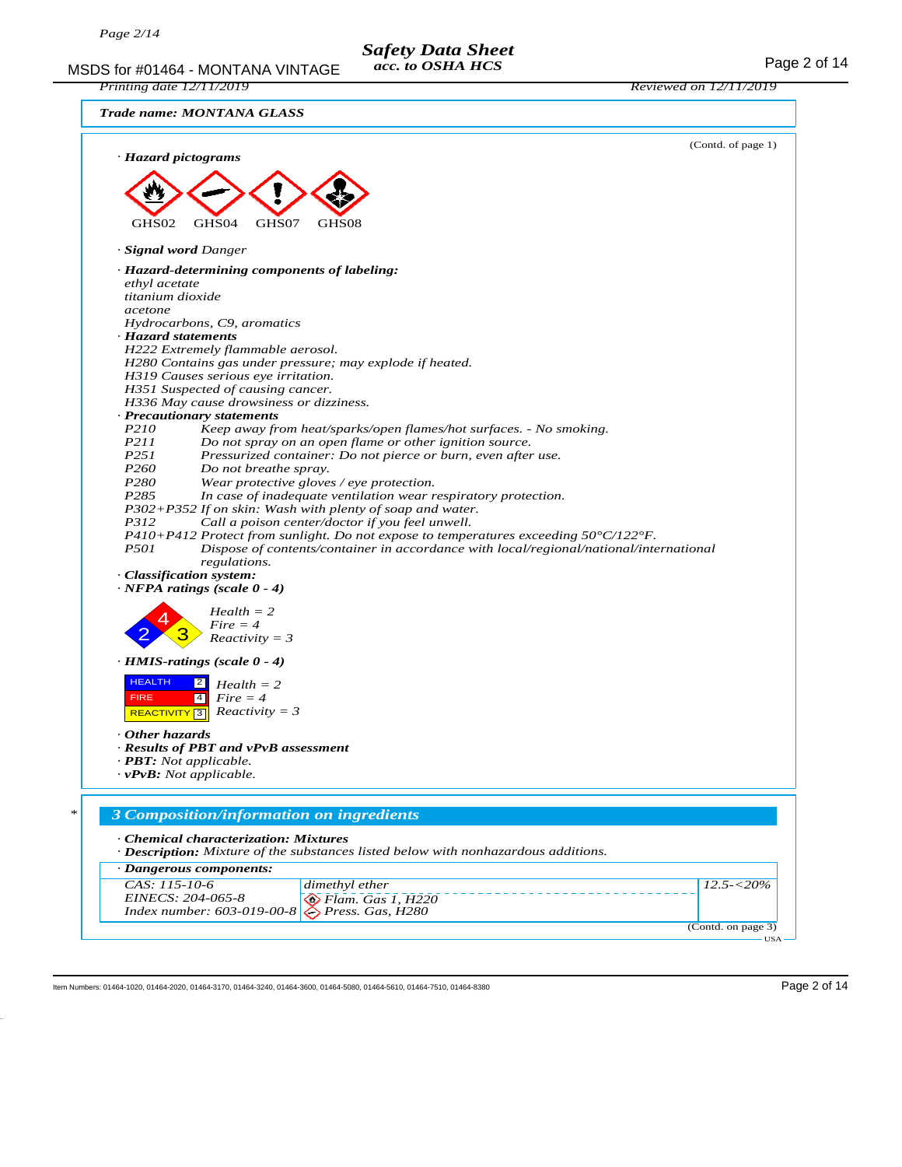#### MSDS for #01464 - MONTANA VINTAGE acc. to OSHA HCS For acceptance of 14 *Safety Data Sheet acc. to OSHA HCS*

*Printing date 12/11/2019 Reviewed on 12/11/2019*

|  | Trade name: MONTANA GLASS |  |
|--|---------------------------|--|
|--|---------------------------|--|



Item Numbers: 01464-1020, 01464-2020, 01464-3170, 01464-3240, 01464-3680, 01464-5080, 01464-5610, 01464-7510, 01464-8380 Page 2 of 14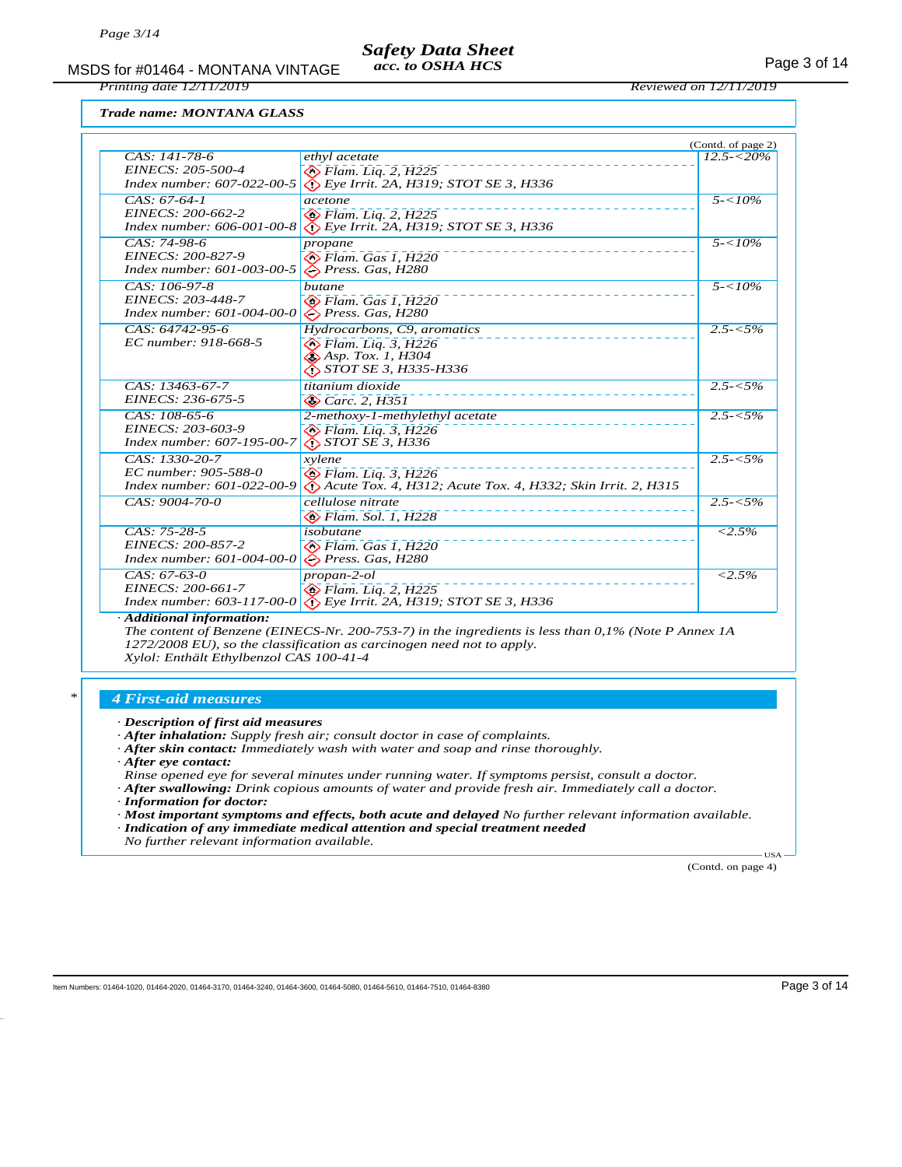MSDS for #01464 - MONTANA VINTAGE acc. to OSHA HCS example 2 of 14 *acc. to OSHA HCS*

*Printing date 12/11/2019 Reviewed on 12/11/2019*

*Trade name: MONTANA GLASS*

|                                                                |                                                                                             | (Contd. of page 2)  |
|----------------------------------------------------------------|---------------------------------------------------------------------------------------------|---------------------|
| CAS: 141-78-6                                                  | ethyl acetate                                                                               | $12.5 - 520\%$      |
| EINECS: 205-500-4                                              | $\otimes$ Flam. Liq. 2, H225                                                                |                     |
| Index number: 607-022-00-5                                     | $\bigotimes$ Eye Irrit. 2A, H319; STOT SE 3, H336                                           |                     |
| $CAS: 67-64-1$                                                 | acetone                                                                                     | $5 - 10\%$          |
| EINECS: 200-662-2                                              | $\otimes$ Flam. Liq. 2, H225                                                                |                     |
| Index number: 606-001-00-8                                     | $\bigotimes$ Eye Irrit. 2A, H319; STOT SE 3, H336                                           |                     |
| $CAS: 74-98-6$                                                 | propane                                                                                     | $5 - 10\%$          |
| EINECS: 200-827-9                                              | $\otimes$ Flam. Gas 1, H220                                                                 |                     |
| Index number: 601-003-00-5                                     | $\bigcirc$ Press. Gas, H280                                                                 |                     |
| $CAS: 106-97-8$                                                | butane                                                                                      | $5 - 10\%$          |
| EINECS: 203-448-7                                              | $\diamondsuit$ Flam. Gas 1, H220                                                            |                     |
| Index number: 601-004-00-0                                     | $\Diamond$ Press. Gas, H280                                                                 |                     |
| CAS: 64742-95-6                                                | Hydrocarbons, C9, aromatics                                                                 | $2.5 - 5\%$         |
| EC number: 918-668-5                                           | $\otimes$ Flam. Liq. 3, H226                                                                |                     |
|                                                                | $\bigotimes$ Asp. Tox. 1, H304<br><i>STOT SE 3, H335-H336</i>                               |                     |
|                                                                |                                                                                             |                     |
| CAS: 13463-67-7<br>EINECS: 236-675-5                           | titanium dioxide                                                                            | $2.5 - 5\%$         |
|                                                                | $\otimes$ Carc. 2, H351                                                                     |                     |
| CAS: 108-65-6                                                  | 2-methoxy-1-methylethyl acetate                                                             | $2.5 - 5\%$         |
| EINECS: 203-603-9<br>Index number: 607-195-00-7                | $\otimes$ Flam. Lig. 3, H226<br><i>EN STOT SE 3, H336</i>                                   |                     |
|                                                                |                                                                                             |                     |
| $CAS: 1330-20-7$<br>EC number: 905-588-0                       | xvlene                                                                                      | $2.5 - 5\%$         |
| Index number: 601-022-00-9                                     | $\otimes$ Flam. Liq. 3, H226<br>Acute Tox. 4, H312; Acute Tox. 4, H332; Skin Irrit. 2, H315 |                     |
|                                                                |                                                                                             |                     |
| CAS: 9004-70-0                                                 | cellulose nitrate                                                                           | $2.5 - 5\%$         |
|                                                                | $\otimes$ Flam. Sol. 1, H228                                                                |                     |
| CAS: 75-28-5                                                   | isobutane                                                                                   | $< 2.5\%$           |
| EINECS: 200-857-2<br>Index number: 601-004-00-0                | $\otimes$ Flam. Gas 1. H220<br>$\diamond$ Press. Gas, H280                                  |                     |
|                                                                |                                                                                             |                     |
| $CAS: 67-63-0$                                                 | $propan-2-ol$                                                                               | $\overline{<}2.5\%$ |
| EINECS: 200-661-7<br><i>Index number:</i> $603 - 117 - 00 - 0$ | $\circledcirc$ Flam. Liq. 2, H225<br>$\bigcirc$ Eye Irrit. 2A, H319; STOT SE 3, H336        |                     |
|                                                                |                                                                                             |                     |

*· Additional information:*

*The content of Benzene (EINECS-Nr. 200-753-7) in the ingredients is less than 0,1% (Note P Annex 1A 1272/2008 EU), so the classification as carcinogen need not to apply. Xylol: Enthält Ethylbenzol CAS 100-41-4*

#### *\* 4 First-aid measures*

- *· After inhalation: Supply fresh air; consult doctor in case of complaints.*
- *· After skin contact: Immediately wash with water and soap and rinse thoroughly.*
- *· After eye contact:*
- *Rinse opened eye for several minutes under running water. If symptoms persist, consult a doctor.*
- *· After swallowing: Drink copious amounts of water and provide fresh air. Immediately call a doctor.*
- *· Information for doctor:*
- *· Most important symptoms and effects, both acute and delayed No further relevant information available. · Indication of any immediate medical attention and special treatment needed*
- *No further relevant information available.*

(Contd. on page 4)

USA

*<sup>·</sup> Description of first aid measures*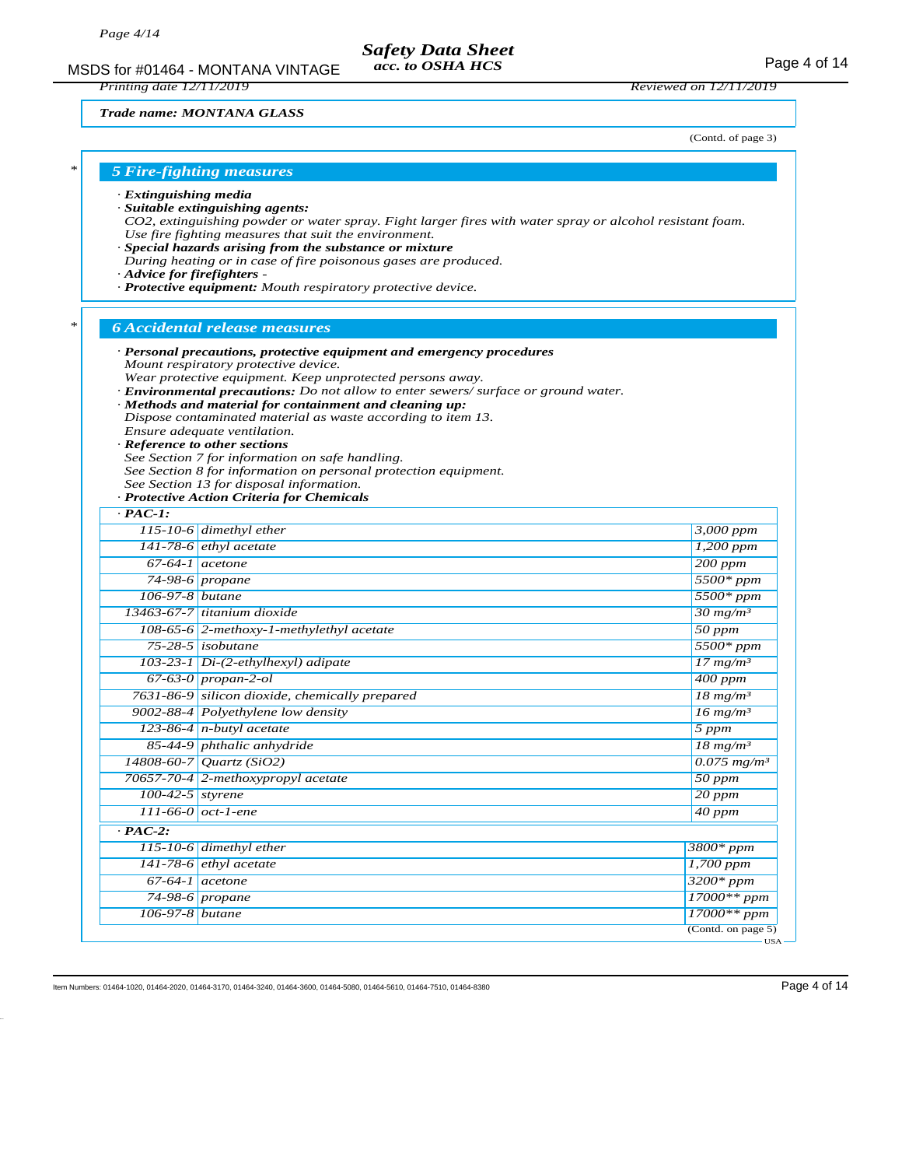MSDS for #01464 - MONTANA VINTAGE acc. to OSHA HCS example 2001 14 *acc. to OSHA HCS*

*Printing date 12/11/2019 Reviewed on 12/11/2019*

#### *Trade name: MONTANA GLASS*

(Contd. of page 3)

## *\* 5 Fire-fighting measures*

*· Extinguishing media*

- *· Suitable extinguishing agents:*
- *CO2, extinguishing powder or water spray. Fight larger fires with water spray or alcohol resistant foam. Use fire fighting measures that suit the environment.*
- *· Special hazards arising from the substance or mixture*
- *During heating or in case of fire poisonous gases are produced.*
- *· Advice for firefighters*
- *· Protective equipment: Mouth respiratory protective device.*

#### *\* 6 Accidental release measures*

- *· Personal precautions, protective equipment and emergency procedures Mount respiratory protective device. Wear protective equipment. Keep unprotected persons away. · Environmental precautions: Do not allow to enter sewers/ surface or ground water. · Methods and material for containment and cleaning up: Dispose contaminated material as waste according to item 13. Ensure adequate ventilation.*
- *· Reference to other sections*
- *See Section 7 for information on safe handling.*
- *See Section 8 for information on personal protection equipment.*
- *See Section 13 for disposal information.*

#### *· Protective Action Criteria for Chemicals*

| $\cdot$ PAC-1:     |                                                |                                               |
|--------------------|------------------------------------------------|-----------------------------------------------|
|                    | 115-10-6 dimethyl ether                        | 3,000 ppm                                     |
|                    | $141-78-6$ ethyl acetate                       | $1,200$ ppm                                   |
| $67-64-1$ acetone  |                                                | $200$ ppm                                     |
|                    | 74-98-6 propane                                | $5500*ppm$                                    |
| 106-97-8 butane    |                                                | $5500*ppm$                                    |
|                    | $13463-67-7$ titanium dioxide                  | $30$ mg/m <sup>3</sup>                        |
|                    | 108-65-6 2-methoxy-1-methylethyl acetate       | $\overline{50\ ppm}$                          |
|                    | $75-28-5$ isobutane                            | $5500*ppm$                                    |
|                    | 103-23-1 Di-(2-ethylhexyl) adipate             | $17$ mg/m <sup>3</sup>                        |
|                    | $67-63-0$ propan-2-ol                          | $400$ ppm                                     |
|                    | 7631-86-9 silicon dioxide, chemically prepared | $\frac{18 \text{ mg/m}^3}{2}$                 |
|                    | 9002-88-4 Polyethylene low density             | $\frac{16 \text{ mg/m}^3}{25 \text{ mg/m}^3}$ |
|                    | 123-86-4 n-butyl acetate                       | 5 ppm                                         |
|                    | 85-44-9 phthalic anhydride                     | $\frac{18 \text{ mg/m}^3}{18 \text{ mg/m}^3}$ |
|                    | 14808-60-7 Quartz (SiO2)                       | $0.075$ mg/m <sup>3</sup>                     |
|                    | 70657-70-4 2-methoxypropyl acetate             | $50$ ppm                                      |
| $100-42-5$ styrene |                                                | $20$ ppm                                      |
|                    | $111 - 66 - 0$ oct-1-ene                       | $40$ ppm                                      |
| $\cdot$ PAC-2:     |                                                |                                               |
|                    | 115-10-6 dimethyl ether                        | $3800*ppm$                                    |
|                    | $141-78-6$ ethyl acetate                       | $1,700$ ppm                                   |
|                    | $\overline{67-64-1}$ acetone                   | $3200*ppm$                                    |
|                    | $74-98-6$ propane                              | $17000**ppm$                                  |
| 106-97-8 butane    |                                                | $17000**$ ppm                                 |
|                    |                                                | (Cond. on page 5)                             |

Item Numbers: 01464-1020, 01464-2020, 01464-3170, 01464-3240, 01464-3680, 01464-5080, 01464-5610, 01464-7510, 01464-8380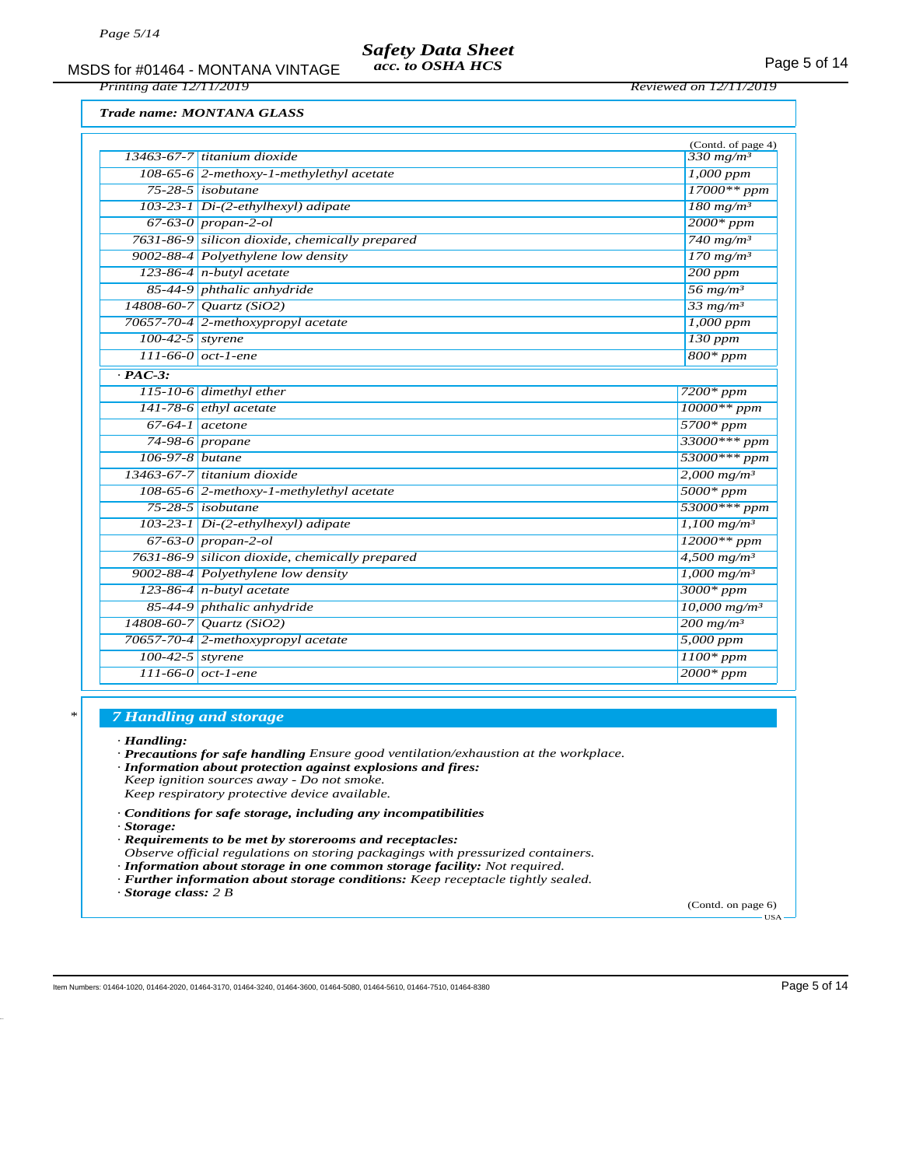### *Safety Data Sheet acc. to OSHA HCS*

MSDS for #01464 - MONTANA VINTAGE acc. to OSHA HCS For the MSDS for #01464 - MONTANA VINTAGE

*Printing date 12/11/2019 Reviewed on 12/11/2019*

*Trade name: MONTANA GLASS*

|                    |                                                | (Contd. of page 4)         |
|--------------------|------------------------------------------------|----------------------------|
|                    | $13463-67-7$ titanium dioxide                  | $330$ mg/m <sup>3</sup>    |
|                    | 108-65-6 2-methoxy-1-methylethyl acetate       | $1,000$ ppm                |
|                    | $75-28-5$ isobutane                            | $17000**ppm$               |
|                    | $103-23-1$ Di-(2-ethylhexyl) adipate           | $180$ mg/m <sup>3</sup>    |
|                    | $67-63-0$ propan-2-ol                          | $2000*ppm$                 |
|                    | 7631-86-9 silicon dioxide, chemically prepared | $740$ mg/m <sup>3</sup>    |
|                    | 9002-88-4 Polyethylene low density             | $170$ mg/m <sup>3</sup>    |
|                    | 123-86-4 $n$ -butyl acetate                    | $200$ ppm                  |
|                    | 85-44-9 phthalic anhydride                     | $56$ mg/m <sup>3</sup>     |
|                    | 14808-60-7 Quartz (SiO2)                       | $33$ mg/m <sup>3</sup>     |
|                    | 70657-70-4 2-methoxypropyl acetate             | $1,000$ ppm                |
| 100-42-5 styrene   |                                                | $130$ ppm                  |
|                    | $111-66-0$ oct-1-ene                           | $800*ppm$                  |
| $\cdot$ PAC-3:     |                                                |                            |
|                    | $115-10-6$ dimethyl ether                      | $7200*ppm$                 |
|                    | $141-78-6$ ethyl acetate                       | $10000**$ ppm              |
|                    | $67-64-1$ acetone                              | $5700*ppm$                 |
|                    | $74-98-6$ propane                              | 33000*** ppm               |
| $106-97-8$ butane  |                                                | 53000*** ppm               |
|                    | 13463-67-7 titanium dioxide                    | $2,000$ mg/m <sup>3</sup>  |
|                    | $108-65-6$ 2-methoxy-1-methylethyl acetate     | $5000*ppm$                 |
|                    | $75-28-5$ isobutane                            | 53000*** ppm               |
|                    | 103-23-1 Di-(2-ethylhexyl) adipate             | $1,100 \; mg/m^3$          |
|                    | $67-63-0$ propan-2-ol                          | $12000**$ ppm              |
|                    | 7631-86-9 silicon dioxide, chemically prepared | $4,500$ mg/m <sup>3</sup>  |
|                    | 9002-88-4 Polyethylene low density             | $1,000$ mg/m <sup>3</sup>  |
|                    | 123-86-4 $n$ -butyl acetate                    | $3000*ppm$                 |
|                    | 85-44-9 phthalic anhydride                     | $10,000$ mg/m <sup>3</sup> |
|                    | $14808 - 60 - 7$ <i>Quartz (SiO2)</i>          | $200$ mg/m <sup>3</sup>    |
|                    | 70657-70-4 2-methoxypropyl acetate             | 5,000 ppm                  |
| $100-42-5$ styrene |                                                | $1100*$ ppm                |
|                    | $111 - 66 - 0$ oct-1-ene                       | $2000*ppm$                 |
|                    |                                                |                            |

### *\* 7 Handling and storage*

*· Handling:*

*· Precautions for safe handling Ensure good ventilation/exhaustion at the workplace.*

- *· Information about protection against explosions and fires:*
- *Keep ignition sources away Do not smoke.*
- *Keep respiratory protective device available.*
- *· Conditions for safe storage, including any incompatibilities*
- *· Storage:*
- *· Requirements to be met by storerooms and receptacles:*
- *Observe official regulations on storing packagings with pressurized containers.*
- *· Information about storage in one common storage facility: Not required.*
- *· Further information about storage conditions: Keep receptacle tightly sealed. · Storage class: 2 B*

(Contd. on page 6) USA

Item Numbers: 01464-1020, 01464-2020, 01464-3170, 01464-3240, 01464-3600, 01464-5080, 01464-5610, 01464-7510, 01464-8380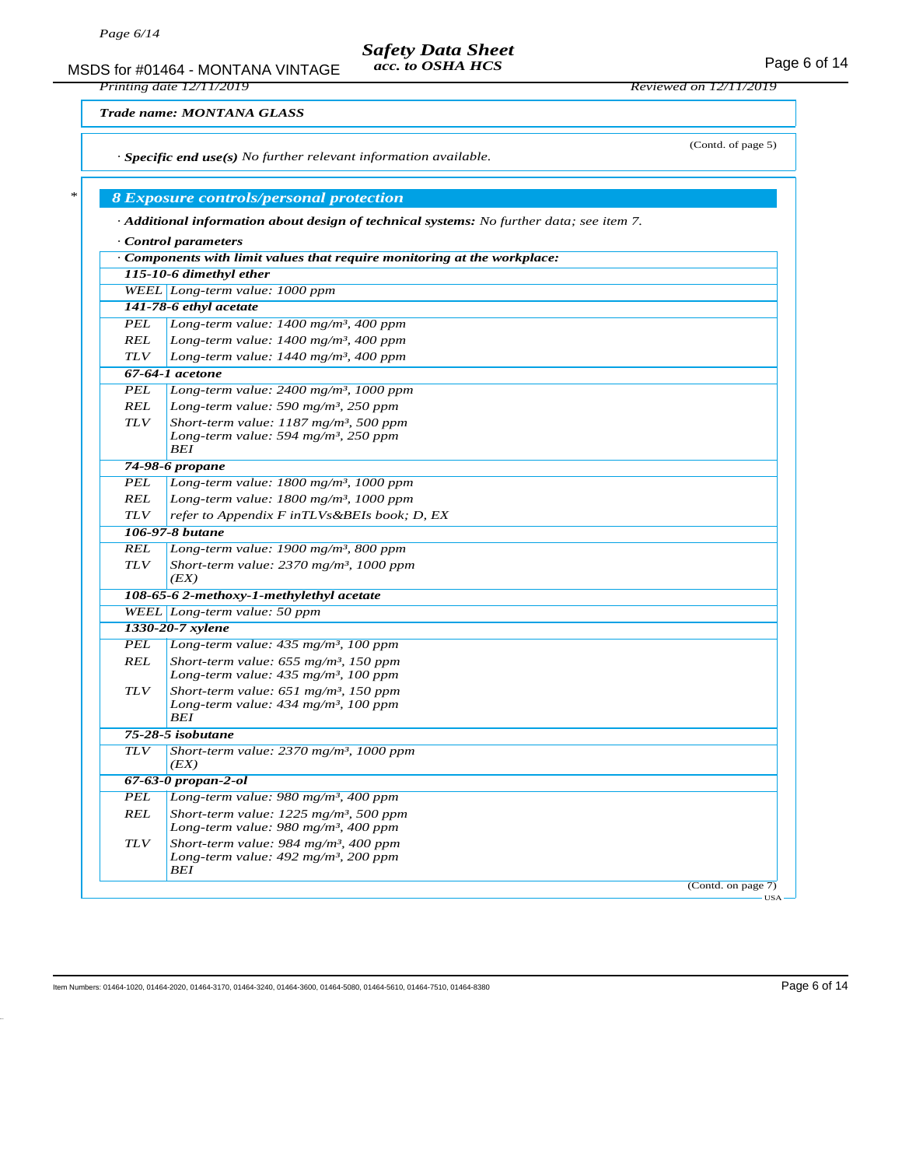MSDS for #01464 - MONTANA VINTAGE acc. to OSHA HCS developed and the Page 6 of 14 *Safety Data Sheet acc. to OSHA HCS*

*Printing date 12/11/2019 Reviewed on 12/11/2019*

(Contd. of page 5)

*Trade name: MONTANA GLASS*

*· Specific end use(s) No further relevant information available.*

# *\* 8 Exposure controls/personal protection*

*· Additional information about design of technical systems: No further data; see item 7.*

|                           | $\cdot$ Components with limit values that require monitoring at the workplace: |
|---------------------------|--------------------------------------------------------------------------------|
|                           | 115-10-6 dimethyl ether                                                        |
|                           | WEEL Long-term value: 1000 ppm                                                 |
|                           | 141-78-6 ethyl acetate                                                         |
| PEL                       | Long-term value: 1400 mg/m <sup>3</sup> , 400 ppm                              |
| <b>REL</b>                | Long-term value: $1400$ mg/m <sup>3</sup> , 400 ppm                            |
| <b>TLV</b>                | Long-term value: $1440$ mg/m <sup>3</sup> , 400 ppm                            |
|                           | 67-64-1 acetone                                                                |
| <b>PEL</b>                | Long-term value: $2400$ mg/m <sup>3</sup> , 1000 ppm                           |
| <b>REL</b>                | Long-term value: 590 mg/m <sup>3</sup> , 250 ppm                               |
| <b>TLV</b>                | Short-term value: $1187$ mg/m <sup>3</sup> , 500 ppm                           |
|                           | Long-term value: 594 mg/m <sup>3</sup> , 250 ppm                               |
|                           | <b>BEI</b>                                                                     |
| <b>PEL</b>                | 74-98-6 propane                                                                |
| <b>REL</b>                | Long-term value: $1800$ mg/m <sup>3</sup> , 1000 ppm                           |
| <b>TLV</b>                | Long-term value: 1800 mg/m <sup>3</sup> , 1000 ppm                             |
|                           | refer to Appendix F inTLVs&BEIs book; D, EX                                    |
|                           | 106-97-8 <i>butane</i>                                                         |
| REL                       | Long-term value: 1900 mg/m <sup>3</sup> , 800 ppm                              |
| <b>TLV</b>                | Short-term value: $2370$ mg/m <sup>3</sup> , 1000 ppm<br>(EX)                  |
|                           | 108-65-6 2-methoxy-1-methylethyl acetate                                       |
|                           | WEEL Long-term value: 50 ppm                                                   |
|                           | 1330-20-7 xylene                                                               |
| <b>PEL</b>                | Long-term value: $435$ mg/m <sup>3</sup> , 100 ppm                             |
| <b>REL</b>                | Short-term value: $655$ mg/m <sup>3</sup> , 150 ppm                            |
|                           | Long-term value: 435 mg/m <sup>3</sup> , 100 ppm                               |
| <b>TLV</b>                | Short-term value: $651$ mg/m <sup>3</sup> , 150 ppm                            |
|                           | Long-term value: $434$ mg/m <sup>3</sup> , 100 ppm<br><b>BEI</b>               |
|                           | 75-28-5 isobutane                                                              |
| <b>TLV</b>                | Short-term value: $2370$ mg/m <sup>3</sup> , 1000 ppm                          |
|                           | (EX)                                                                           |
| $67 - 63 - 0$ propan-2-ol |                                                                                |
| <b>PEL</b>                | Long-term value: 980 mg/m <sup>3</sup> , 400 ppm                               |
| REL                       | Short-term value: $1225$ mg/m <sup>3</sup> , 500 ppm                           |
|                           | Long-term value: 980 mg/m <sup>3</sup> , 400 ppm                               |
| <b>TLV</b>                | Short-term value: 984 mg/m <sup>3</sup> , 400 ppm                              |
|                           | Long-term value: 492 mg/m <sup>3</sup> , 200 ppm                               |
|                           | BEI<br>(Contd. on page 7)                                                      |

Item Numbers: 01464-1020, 01464-2020, 01464-3170, 01464-3240, 01464-3600, 01464-5080, 01464-5610, 01464-7510, 01464-8380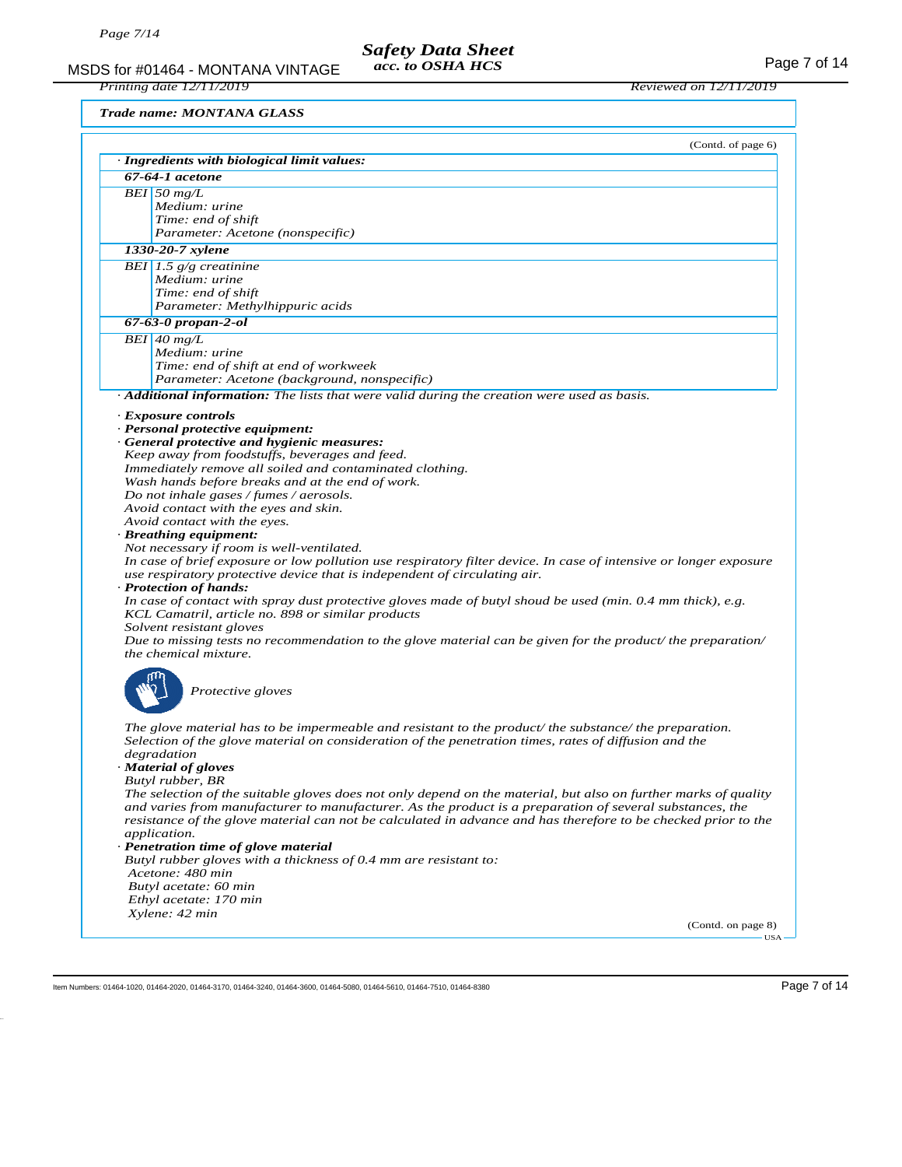MSDS for #01464 - MONTANA VINTAGE acc. to OSHA HCS<br>Printing date 12/11/2019<br>Reviewed on 12/11/2019

*Printing date 12/11/2019 Reviewed on 12/11/2019*

*Trade name: MONTANA GLASS*

|                  | (Contd. of page 6)<br>· Ingredients with biological limit values:                                                    |  |  |
|------------------|----------------------------------------------------------------------------------------------------------------------|--|--|
| 67-64-1 acetone  |                                                                                                                      |  |  |
| $BEI$ 50 mg/L    |                                                                                                                      |  |  |
|                  | Medium: urine                                                                                                        |  |  |
|                  | Time: end of shift                                                                                                   |  |  |
|                  | Parameter: Acetone (nonspecific)                                                                                     |  |  |
| 1330-20-7 xylene |                                                                                                                      |  |  |
|                  | BEI 1.5 $g/g$ creatinine                                                                                             |  |  |
|                  | Medium: urine                                                                                                        |  |  |
|                  | Time: end of shift                                                                                                   |  |  |
|                  | Parameter: Methylhippuric acids                                                                                      |  |  |
|                  | $67 - 63 - 0$ propan-2-ol                                                                                            |  |  |
|                  | $BEI$ 40 mg/L                                                                                                        |  |  |
|                  | Medium: urine                                                                                                        |  |  |
|                  | Time: end of shift at end of workweek                                                                                |  |  |
|                  | Parameter: Acetone (background, nonspecific)                                                                         |  |  |
|                  | $\cdot$ <b>Additional information:</b> The lists that were valid during the creation were used as basis.             |  |  |
|                  | · Exposure controls                                                                                                  |  |  |
|                  | · Personal protective equipment:                                                                                     |  |  |
|                  | · General protective and hygienic measures:                                                                          |  |  |
|                  | Keep away from foodstuffs, beverages and feed.                                                                       |  |  |
|                  | Immediately remove all soiled and contaminated clothing.                                                             |  |  |
|                  | Wash hands before breaks and at the end of work.                                                                     |  |  |
|                  | Do not inhale gases / fumes / aerosols.                                                                              |  |  |
|                  | Avoid contact with the eyes and skin.                                                                                |  |  |
|                  | Avoid contact with the eyes.                                                                                         |  |  |
|                  | · Breathing equipment:                                                                                               |  |  |
|                  | Not necessary if room is well-ventilated.                                                                            |  |  |
|                  | In case of brief exposure or low pollution use respiratory filter device. In case of intensive or longer exposure    |  |  |
|                  | use respiratory protective device that is independent of circulating air.                                            |  |  |
|                  | · Protection of hands:                                                                                               |  |  |
|                  | In case of contact with spray dust protective gloves made of butyl shoud be used (min. 0.4 mm thick), e.g.           |  |  |
|                  | KCL Camatril, article no. 898 or similar products                                                                    |  |  |
|                  | Solvent resistant gloves                                                                                             |  |  |
|                  | Due to missing tests no recommendation to the glove material can be given for the product/ the preparation/          |  |  |
|                  | the chemical mixture.                                                                                                |  |  |
|                  |                                                                                                                      |  |  |
|                  | Protective gloves                                                                                                    |  |  |
|                  |                                                                                                                      |  |  |
|                  |                                                                                                                      |  |  |
|                  | The glove material has to be impermeable and resistant to the product/ the substance/ the preparation.               |  |  |
|                  | Selection of the glove material on consideration of the penetration times, rates of diffusion and the<br>degradation |  |  |
|                  | · Material of gloves                                                                                                 |  |  |
|                  | Butyl rubber, BR                                                                                                     |  |  |
|                  | The selection of the suitable gloves does not only depend on the material, but also on further marks of quality      |  |  |
|                  | and varies from manufacturer to manufacturer. As the product is a preparation of several substances, the             |  |  |
|                  | resistance of the glove material can not be calculated in advance and has therefore to be checked prior to the       |  |  |
|                  | <i>application.</i>                                                                                                  |  |  |
|                  | · Penetration time of glove material                                                                                 |  |  |
|                  | Butyl rubber gloves with a thickness of 0.4 mm are resistant to:                                                     |  |  |
|                  | Acetone: 480 min                                                                                                     |  |  |
|                  | Butyl acetate: 60 min                                                                                                |  |  |
|                  | Ethyl acetate: 170 min                                                                                               |  |  |
|                  |                                                                                                                      |  |  |
|                  | Xylene: 42 min                                                                                                       |  |  |

Item Numbers: 01464-1020, 01464-2020, 01464-3170, 01464-3240, 01464-3600, 01464-5080, 01464-5610, 01464-7510, 01464-8380 Page 7 of 14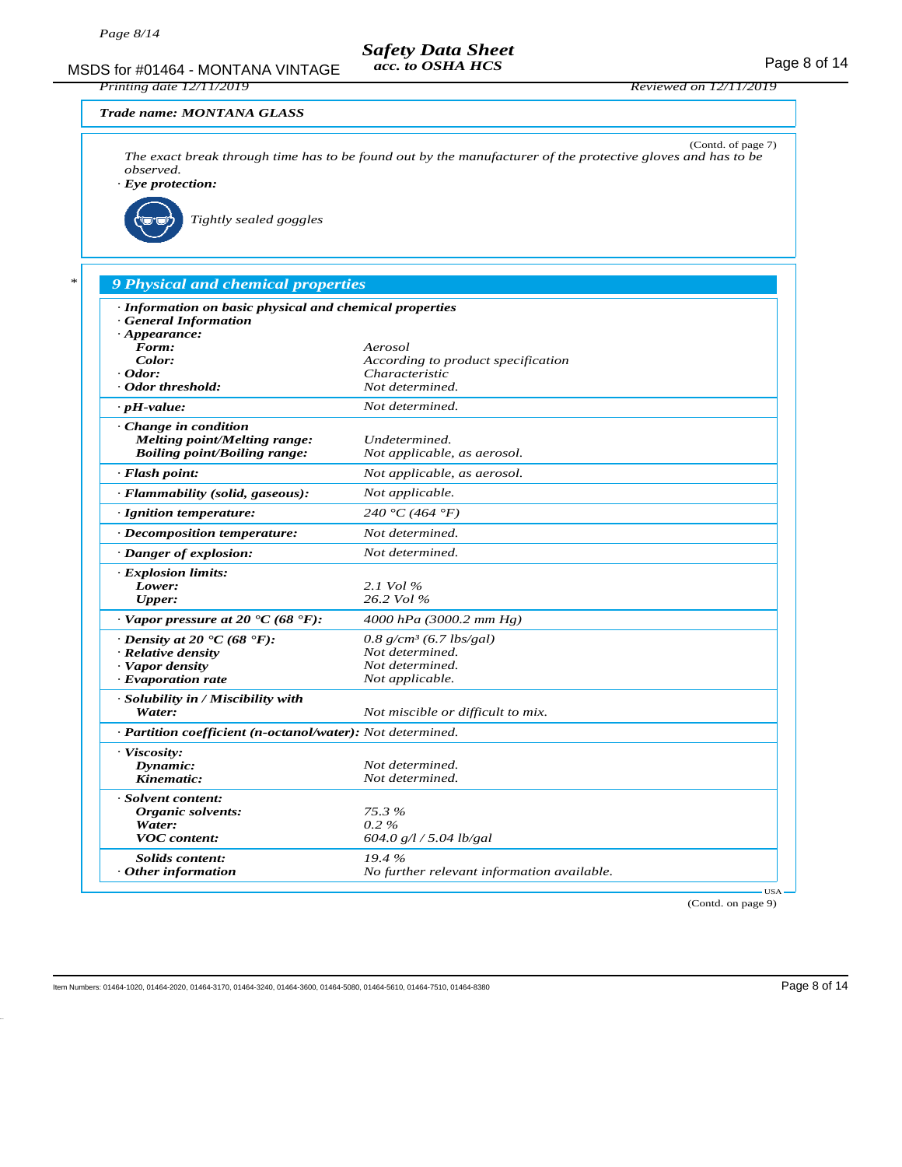MSDS for #01464 - MONTANA VINTAGE acc. to OSHA HCS example 20 years of 14 *acc. to OSHA HCS Printing date 12/11/2019 Reviewed on 12/11/2019 Trade name: MONTANA GLASS* (Contd. of page 7) *The exact break through time has to be found out by the manufacturer of the protective gloves and has to be observed. · Eye protection: Tightly sealed goggles \* 9 Physical and chemical properties · Information on basic physical and chemical properties · General Information · Appearance: Form: Aerosol* **Color:** *Color: Color:**Color:**Characteristic**Characteristic**Characteristic**Characteristic**Characteristic · Odor: Characteristic · Odor threshold: Not determined. · pH-value: Not determined. · Change in condition Melting point/Melting range: Undetermined. Boiling point/Boiling range: Not applicable, as aerosol. · Flash point: Not applicable, as aerosol. · Flammability (solid, gaseous): Not applicable. · Ignition temperature: 240 °C (464 °F) · Decomposition temperature: Not determined. · Danger of explosion: Not determined. · Explosion limits: Lower: 2.1 Vol % Upper: 26.2 Vol % · Vapor pressure at 20 °C (68 °F): 4000 hPa (3000.2 mm Hg) · Density at 20* **°C (68 °F):** *0.8 g/cm<sup>3</sup> (6.7 lbs/gal) · Relative density <i>n s<i>n <i>n <i>Not determined. <i>·* **Relative density** *Construme Not determined.*<br>*Not applicable.*  $\cdot$  *Evaporation rate · Solubility in / Miscibility with Water: Not miscible or difficult to mix. · Partition coefficient (n-octanol/water): Not determined. · Viscosity: Dynamic: Not determined.*<br>*Not determined.*<br>*Not determined.*  $Not$  *determined. · Solvent content: Organic solvents: 75.3 % Water:*<br>*VOC content: VOC content: 604.0 g/l / 5.04 lb/gal Solids content: 19.4 % · Other information No further relevant information available.* USA

(Contd. on page 9)

Item Numbers: 01464-1020, 01464-2020, 01464-3170, 01464-3240, 01464-3680, 01464-5080, 01464-5610, 01464-7510, 01464-8380 Page 8 of 14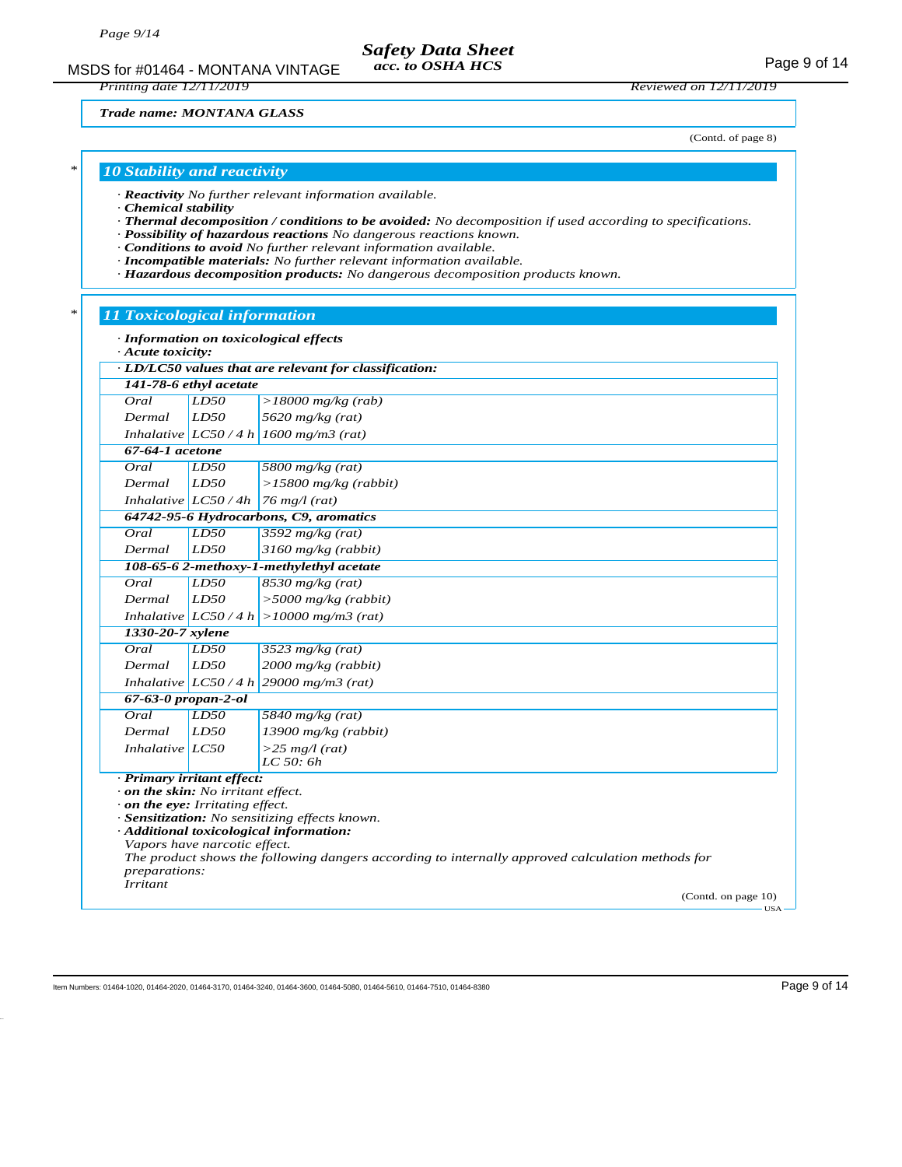MSDS for #01464 - MONTANA VINTAGE acc. to OSHA HCS For the MSDS for #01464 - MONTANA VINTAGE *acc. to OSHA HCS*

*Printing date 12/11/2019 Reviewed on 12/11/2019*

*Trade name: MONTANA GLASS*

(Contd. of page 8)

# *\* 10 Stability and reactivity*

*· Reactivity No further relevant information available.*

- *· Chemical stability*
- *· Thermal decomposition / conditions to be avoided: No decomposition if used according to specifications.*
- *· Possibility of hazardous reactions No dangerous reactions known.*
- *· Conditions to avoid No further relevant information available.*
- *· Incompatible materials: No further relevant information available.*
- *· Hazardous decomposition products: No dangerous decomposition products known.*

# *\* 11 Toxicological information*

| $\cdot$ Acute toxicity:                                                                                                                                                     |      | · Information on toxicological effects                                                                                            |                              |                                                                                                                                                                                               |
|-----------------------------------------------------------------------------------------------------------------------------------------------------------------------------|------|-----------------------------------------------------------------------------------------------------------------------------------|------------------------------|-----------------------------------------------------------------------------------------------------------------------------------------------------------------------------------------------|
| · LD/LC50 values that are relevant for classification:<br>141-78-6 ethyl acetate<br>Oral<br>LD50                                                                            |      |                                                                                                                                   |                              |                                                                                                                                                                                               |
|                                                                                                                                                                             |      |                                                                                                                                   | $>18000$ mg/kg (rab)<br>LD50 |                                                                                                                                                                                               |
| 5620 mg/kg (rat)<br>Dermal                                                                                                                                                  |      |                                                                                                                                   |                              |                                                                                                                                                                                               |
| Inhalative $ LCS0/4 h  1600$ mg/m3 (rat)                                                                                                                                    |      |                                                                                                                                   |                              |                                                                                                                                                                                               |
| $67-64-1$ acetone                                                                                                                                                           |      |                                                                                                                                   |                              |                                                                                                                                                                                               |
| Oral<br>LD50<br>5800 mg/kg $(rat)$<br>LD50<br>Dermal<br>$>15800$ mg/kg (rabbit)                                                                                             |      |                                                                                                                                   |                              |                                                                                                                                                                                               |
|                                                                                                                                                                             |      |                                                                                                                                   |                              |                                                                                                                                                                                               |
| Inhalative $LC50/4h$                                                                                                                                                        |      | $76$ mg/l (rat)                                                                                                                   |                              |                                                                                                                                                                                               |
|                                                                                                                                                                             |      | 64742-95-6 Hydrocarbons, C9, aromatics                                                                                            |                              |                                                                                                                                                                                               |
| Oral                                                                                                                                                                        | LD50 | 3592 $mg/kg$ (rat)                                                                                                                |                              |                                                                                                                                                                                               |
| LD50<br>3160 mg/kg (rabbit)<br>Dermal<br>108-65-6 2-methoxy-1-methylethyl acetate                                                                                           |      |                                                                                                                                   |                              |                                                                                                                                                                                               |
|                                                                                                                                                                             |      |                                                                                                                                   |                              |                                                                                                                                                                                               |
| $8530$ mg/kg (rat)<br>Oral<br>LD50                                                                                                                                          |      |                                                                                                                                   |                              |                                                                                                                                                                                               |
| Dermal<br><i>LD50</i><br>$>$ 5000 mg/kg (rabbit)<br>Inhalative $ LCSO/4 h  > 10000$ mg/m3 (rat)<br>1330-20-7 xylene<br>LD50<br>Oral<br>$3523$ mg/kg (rat)<br>LD50<br>Dermal |      |                                                                                                                                   |                              |                                                                                                                                                                                               |
|                                                                                                                                                                             |      |                                                                                                                                   |                              |                                                                                                                                                                                               |
|                                                                                                                                                                             |      |                                                                                                                                   |                              |                                                                                                                                                                                               |
|                                                                                                                                                                             |      | 2000 mg/kg (rabbit)                                                                                                               |                              |                                                                                                                                                                                               |
|                                                                                                                                                                             |      |                                                                                                                                   |                              | Inhalative $LC50/4 h$ 29000 mg/m3 (rat)                                                                                                                                                       |
| $67 - 63 - 0$ propan-2-ol<br>Oral<br>LD50<br>$5840$ mg/kg (rat)<br>LD50<br>Dermal<br>$13900$ mg/kg (rabbit)                                                                 |      |                                                                                                                                   |                              |                                                                                                                                                                                               |
|                                                                                                                                                                             |      | Inhalative $LC50$                                                                                                                 |                              | $>$ 25 mg/l (rat)<br>LC 50:6h                                                                                                                                                                 |
|                                                                                                                                                                             |      | · Primary irritant effect:<br>$\cdot$ on the skin: No irritant effect.<br>$\cdot$ on the eye: Irritating effect.<br>preparations: | Vapors have narcotic effect. | · Sensitization: No sensitizing effects known.<br>· Additional toxicological information:<br>The product shows the following dangers according to internally approved calculation methods for |
| <b>Irritant</b>                                                                                                                                                             |      | (Contd. on page 10)                                                                                                               |                              |                                                                                                                                                                                               |

Item Numbers: 01464-1020, 01464-2020, 01464-3170, 01464-3240, 01464-3600, 01464-5080, 01464-5610, 01464-7510, 01464-8380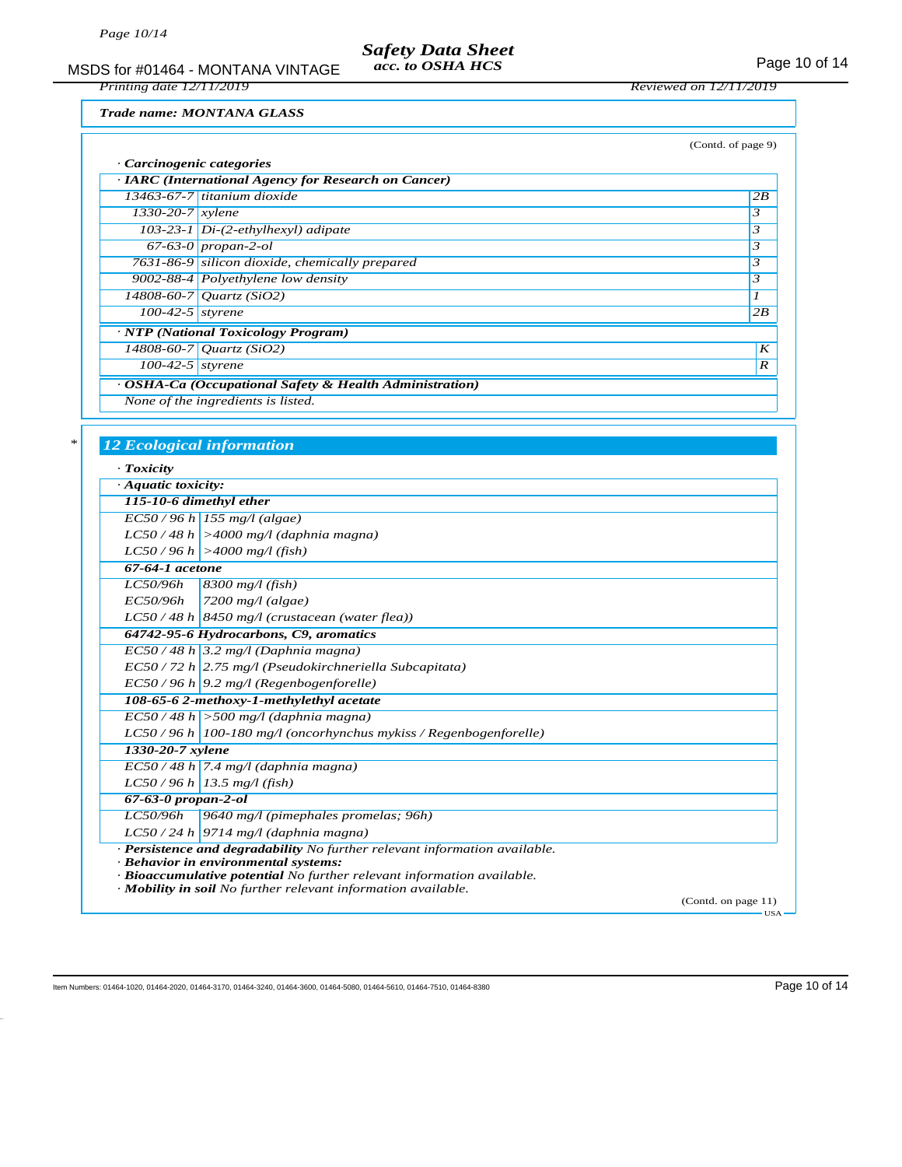MSDS for #01464 - MONTANA VINTAGE acc. to OSHA HCS<br>Printing date 12/11/2019<br>Reviewed on 12/11/2019 *acc. to OSHA HCS*

*Trade name: MONTANA GLASS*

*Printing date 12/11/2019 Reviewed on 12/11/2019*

|                                |                                                         | (Contd. of page 9) |
|--------------------------------|---------------------------------------------------------|--------------------|
| · Carcinogenic categories      |                                                         |                    |
|                                | · IARC (International Agency for Research on Cancer)    |                    |
|                                | $13463-67-7$ titanium dioxide                           | 2B                 |
| $1330 - 20 - 7$ <i>xylene</i>  |                                                         | 3                  |
|                                | $103-23-1$ Di- $(2-ethylhexyl)$ adipate                 | 3                  |
|                                | $67-63-0$ propan-2-ol                                   | 3                  |
|                                | 7631-86-9 silicon dioxide, chemically prepared          | 3                  |
|                                | 9002-88-4 Polyethylene low density                      | 3                  |
|                                | $14808 - 60 - 7$ Quartz (SiO2)                          |                    |
| $\overline{100}$ -42-5 styrene |                                                         | 2B                 |
|                                | · NTP (National Toxicology Program)                     |                    |
|                                | $14808 - 60 - 7$ <i>Quartz</i> (SiO2)                   | K                  |
| $100-42-5$ styrene             |                                                         | $\boldsymbol{R}$   |
|                                | · OSHA-Ca (Occupational Safety & Health Administration) |                    |
|                                | None of the ingredients is listed.                      |                    |

## *\* 12 Ecological information*

| $\cdot$ Toxicity          |                                                                                                                                         |
|---------------------------|-----------------------------------------------------------------------------------------------------------------------------------------|
| $\cdot$ Aquatic toxicity: |                                                                                                                                         |
|                           | 115-10-6 dimethyl ether                                                                                                                 |
|                           | $EC50/96 h$ 155 mg/l (algae)                                                                                                            |
|                           | $LC50/48 h$ >4000 mg/l (daphnia magna)                                                                                                  |
|                           | $LC50/96 h$ >4000 mg/l (fish)                                                                                                           |
| 67-64-1 acetone           |                                                                                                                                         |
|                           | $LC50/96h$ 8300 mg/l (fish)                                                                                                             |
| EC50/96h                  | $\vert$ 7200 mg/l (algae)                                                                                                               |
|                           | $LC50/48 h$ 8450 mg/l (crustacean (water flea))                                                                                         |
|                           | 64742-95-6 Hydrocarbons, C9, aromatics                                                                                                  |
|                           | $EC50/48 h$ 3.2 mg/l (Daphnia magna)                                                                                                    |
|                           | $EC$ 50 / 72 h 2.75 mg/l (Pseudokirchneriella Subcapitata)                                                                              |
|                           | $EC50/96 h$ 9.2 mg/l (Regenbogenforelle)                                                                                                |
|                           | 108-65-6 2-methoxy-1-methylethyl acetate                                                                                                |
|                           | $EC50/48 h$ > 500 mg/l (daphnia magna)                                                                                                  |
|                           | LC50 / 96 h   100-180 mg/l (oncorhynchus mykiss / Regenbogenforelle)                                                                    |
| 1330-20-7 xylene          |                                                                                                                                         |
|                           | $EC50/48 h$ 7.4 mg/l (daphnia magna)                                                                                                    |
|                           | $LC50/96 h$ 13.5 mg/l (fish)                                                                                                            |
| $67-63-0$ propan-2-ol     |                                                                                                                                         |
|                           | LC50/96h 9640 mg/l (pimephales promelas; 96h)                                                                                           |
|                           | $LC50/24 h$ 9714 mg/l (daphnia magna)                                                                                                   |
|                           | · Persistence and degradability No further relevant information available.                                                              |
|                           | · Behavior in environmental systems:                                                                                                    |
|                           | · Bioaccumulative potential No further relevant information available.<br>· Mobility in soil No further relevant information available. |
|                           | (Contd. on page 11)<br>USA-                                                                                                             |

Item Numbers: 01464-1020, 01464-2020, 01464-3170, 01464-3240, 01464-3600, 01464-5610, 01464-7510, 01464-8380 Page 10 of 14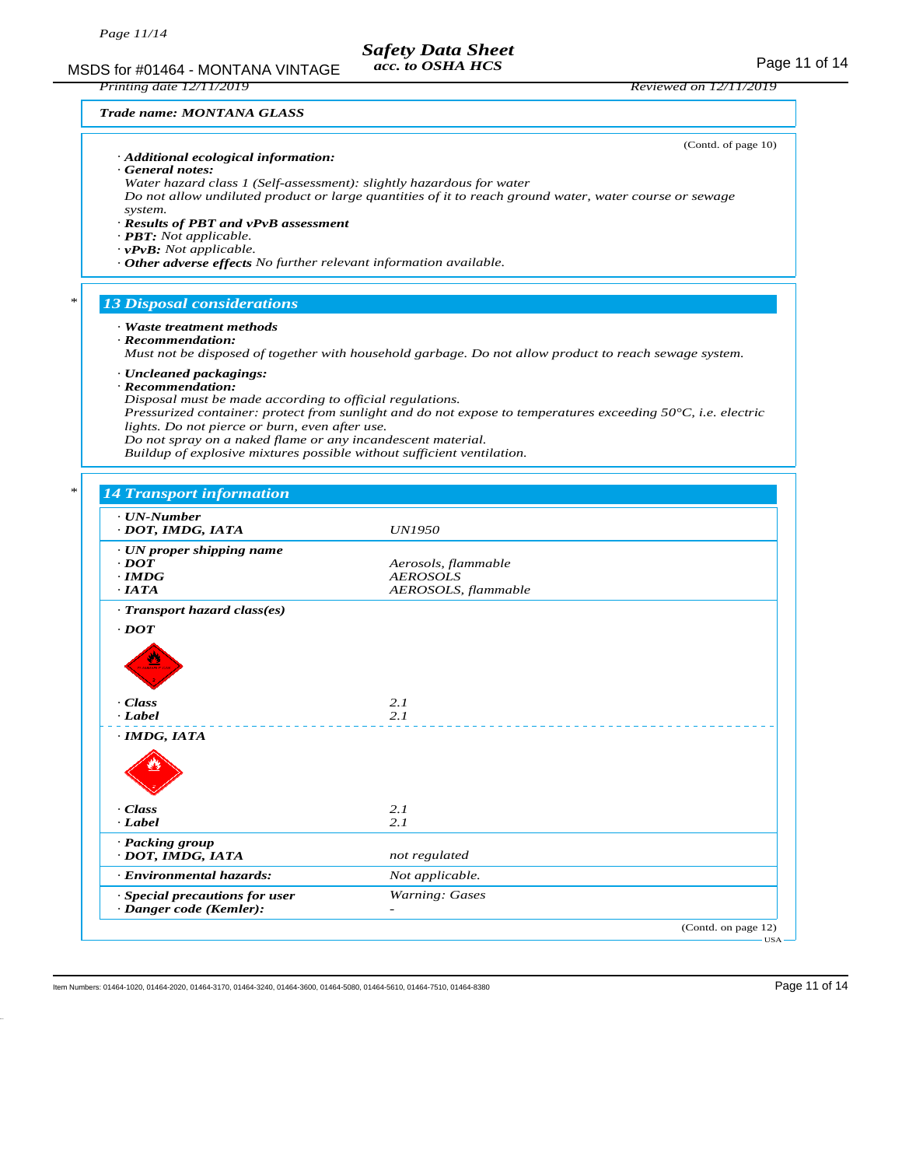MSDS for #01464 - MONTANA VINTAGE  $\frac{20.9 \text{ eV}}{ac \cdot \text{ to } OSHA HCS}$  Reviewed on 12/11/2019 *acc. to OSHA HCS*

#### *Trade name: MONTANA GLASS*

*Printing date 12/11/2019 Reviewed on 12/11/2019*

|   | · Additional ecological information:<br>General notes:<br>Water hazard class 1 (Self-assessment): slightly hazardous for water<br>system.<br>· Results of PBT and vPvB assessment<br>$\cdot$ <b>PBT:</b> Not applicable.<br>$\cdot$ <b>vPvB</b> : Not applicable.<br>· Other adverse effects No further relevant information available.                           | (Contd. of page 10)<br>Do not allow undiluted product or large quantities of it to reach ground water, water course or sewage                                                                                                   |
|---|-------------------------------------------------------------------------------------------------------------------------------------------------------------------------------------------------------------------------------------------------------------------------------------------------------------------------------------------------------------------|---------------------------------------------------------------------------------------------------------------------------------------------------------------------------------------------------------------------------------|
| ∗ | <b>13 Disposal considerations</b>                                                                                                                                                                                                                                                                                                                                 |                                                                                                                                                                                                                                 |
|   | · Waste treatment methods<br>$\cdot$ Recommendation:<br>· Uncleaned packagings:<br>$\cdot$ Recommendation:<br>Disposal must be made according to official regulations.<br>lights. Do not pierce or burn, even after use.<br>Do not spray on a naked flame or any incandescent material.<br>Buildup of explosive mixtures possible without sufficient ventilation. | Must not be disposed of together with household garbage. Do not allow product to reach sewage system.<br>Pressurized container: protect from sunlight and do not expose to temperatures exceeding $50^{\circ}$ C, i.e. electric |
|   |                                                                                                                                                                                                                                                                                                                                                                   |                                                                                                                                                                                                                                 |
| ∗ | <b>14 Transport information</b><br>· UN-Number<br>· DOT, IMDG, IATA<br>· UN proper shipping name<br>$\cdot$ DOT<br>$\cdot$ IMDG<br>$\cdot$ IATA<br>· Transport hazard class(es)<br>$\cdot$ <i>DOT</i><br>· Class<br>· Label                                                                                                                                       | <i>UN1950</i><br>Aerosols, flammable<br><b>AEROSOLS</b><br>AEROSOLS, flammable<br>2.1<br>2.1                                                                                                                                    |
|   | $\cdot$ IMDG, IATA<br>· Class<br>· Label<br>· Packing group<br>· DOT, IMDG, IATA                                                                                                                                                                                                                                                                                  | 2.1<br>2.1<br>not regulated                                                                                                                                                                                                     |
|   | · Environmental hazards:                                                                                                                                                                                                                                                                                                                                          | Not applicable.                                                                                                                                                                                                                 |
|   | · Special precautions for user                                                                                                                                                                                                                                                                                                                                    | Warning: Gases                                                                                                                                                                                                                  |

Item Numbers: 01464-1020, 01464-2020, 01464-3170, 01464-3240, 01464-3600, 01464-5610, 01464-7510, 01464-8380 Page 11 of 14

*· Danger code (Kemler): -* 

(Contd. on page 12)

USA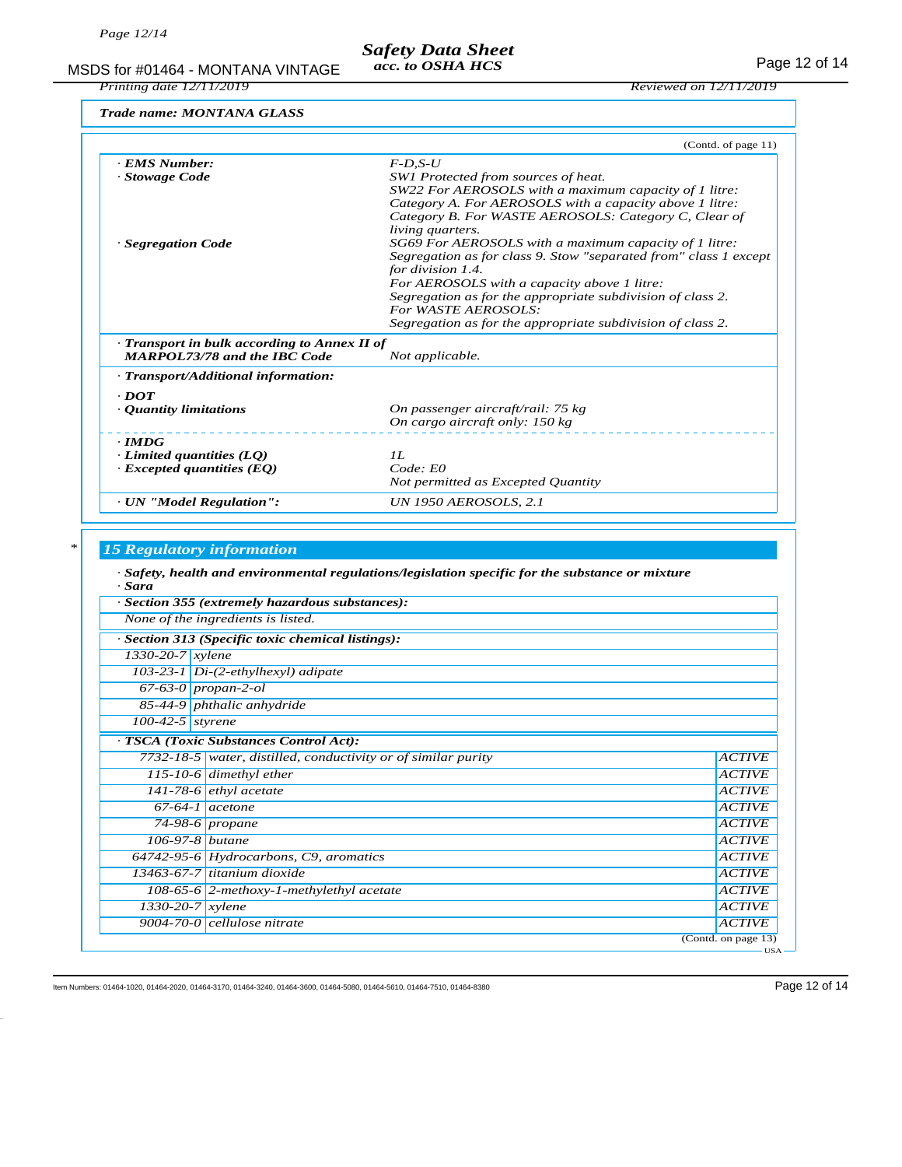# MSDS for #01464 - MONTANA VINTAGE acc. to OSHA HCS<br>Printing date 12/11/2019<br>Reviewed on 12/11/2019 *Safety Data Sheet acc. to OSHA HCS*

*Trade name: MONTANA GLASS*

*Printing date 12/11/2019 Reviewed on 12/11/2019*

|                                              | (Contd. of page 11)                                              |
|----------------------------------------------|------------------------------------------------------------------|
| · EMS Number:                                | $F$ -D.S-U                                                       |
| · Stowage Code                               | SW1 Protected from sources of heat.                              |
|                                              | SW22 For AEROSOLS with a maximum capacity of 1 litre:            |
|                                              | Category A. For AEROSOLS with a capacity above 1 litre:          |
|                                              | Category B. For WASTE AEROSOLS: Category C, Clear of             |
|                                              | living quarters.                                                 |
| · Segregation Code                           | SG69 For AEROSOLS with a maximum capacity of 1 litre:            |
|                                              | Segregation as for class 9. Stow "separated from" class 1 except |
|                                              | for division 1.4.                                                |
|                                              | For AEROSOLS with a capacity above 1 litre:                      |
|                                              | Segregation as for the appropriate subdivision of class 2.       |
|                                              | For WASTE AEROSOLS:                                              |
|                                              | Segregation as for the appropriate subdivision of class 2.       |
| · Transport in bulk according to Annex II of |                                                                  |
| <b>MARPOL73/78 and the IBC Code</b>          | Not applicable.                                                  |
| · Transport/Additional information:          |                                                                  |
| $\cdot$ <i>DOT</i>                           |                                                                  |
| • Quantity limitations                       | On passenger aircraft/rail: 75 kg                                |
|                                              | On cargo aircraft only: 150 kg                                   |
| $\cdot$ <i>IMDG</i>                          |                                                                  |
| $\cdot$ Limited quantities (LO)              | II.                                                              |
| $\cdot$ Excepted quantities (EQ)             | $Code$ $E0$                                                      |
|                                              | Not permitted as Excepted Quantity                               |
| · UN "Model Regulation":                     | <b>UN 1950 AEROSOLS, 2.1</b>                                     |

# *\* 15 Regulatory information*

| · Sara                        | · Safety, health and environmental regulations/legislation specific for the substance or mixture |                               |
|-------------------------------|--------------------------------------------------------------------------------------------------|-------------------------------|
|                               | · Section 355 (extremely hazardous substances):                                                  |                               |
|                               | None of the ingredients is listed.                                                               |                               |
|                               | · Section 313 (Specific toxic chemical listings):                                                |                               |
| $1330 - 20 - 7$ <i>xylene</i> |                                                                                                  |                               |
|                               | $103-23-1$ Di- $(2$ -ethylhexyl) adipate                                                         |                               |
| $67-63-0$ propan-2-ol         |                                                                                                  |                               |
|                               | 85-44-9 phthalic anhydride                                                                       |                               |
| $100-42-5$ styrene            |                                                                                                  |                               |
|                               | · TSCA (Toxic Substances Control Act):                                                           |                               |
|                               | 7732-18-5 water, distilled, conductivity or of similar purity                                    | <b>ACTIVE</b>                 |
|                               | 115-10-6 dimethyl ether                                                                          | <b>ACTIVE</b>                 |
|                               | $141-78-6$ ethyl acetate                                                                         | <b>ACTIVE</b>                 |
|                               | $67-64-1$ acetone                                                                                | <b>ACTIVE</b>                 |
|                               | $74-98-6$ propane                                                                                | <b>ACTIVE</b>                 |
| 106-97-8 butane               |                                                                                                  | <b>ACTIVE</b>                 |
|                               | 64742-95-6 Hydrocarbons, C9, aromatics                                                           | <b>ACTIVE</b>                 |
|                               | 13463-67-7 titanium dioxide                                                                      | <b>ACTIVE</b>                 |
|                               | $108-65-6$ 2-methoxy-1-methylethyl acetate                                                       | <b>ACTIVE</b>                 |
| $1330-20-7$ xylene            |                                                                                                  | <b>ACTIVE</b>                 |
|                               | $9004 - 70 - 0$ cellulose nitrate                                                                | <b>ACTIVE</b>                 |
|                               |                                                                                                  | (Contd. on page 13)           |
|                               |                                                                                                  | $\overline{\phantom{nn}}$ USA |

Item Numbers: 01464-1020, 01464-2020, 01464-3170, 01464-3240, 01464-3600, 01464-5610, 01464-7510, 01464-8380 Page 12 of 14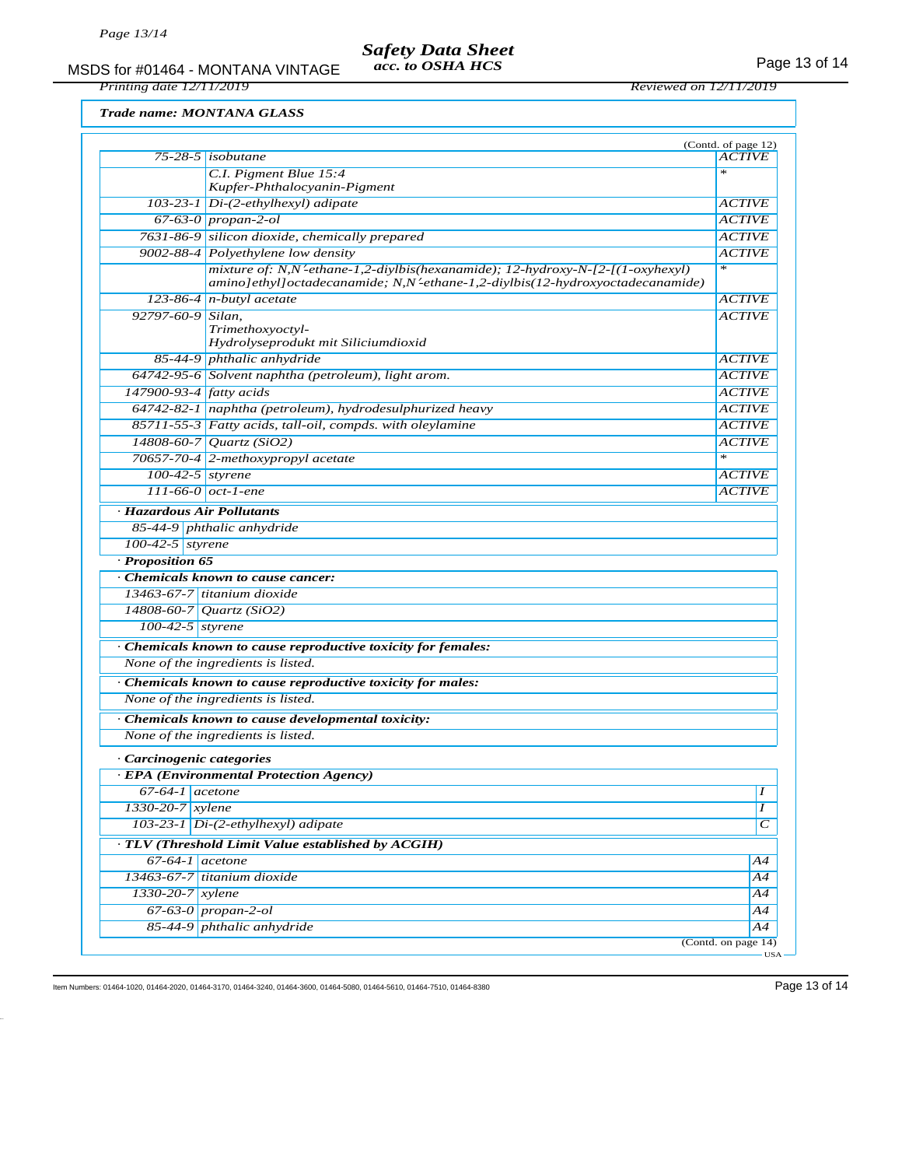## *Safety Data Sheet acc. to OSHA HCS*

MSDS for #01464 - MONTANA VINTAGE acc. to OSHA HCS<br>Printing date 12/11/2019<br>Reviewed on 12/11/2019

*Printing date 12/11/2019 Reviewed on 12/11/2019*

*Trade name: MONTANA GLASS*

|                                                           | $75 - 28 - 5$ isobutane                                                                                                                                                               | (Contd. of page 12)<br><b>ACTIVE</b> |
|-----------------------------------------------------------|---------------------------------------------------------------------------------------------------------------------------------------------------------------------------------------|--------------------------------------|
|                                                           | C.I. Pigment Blue 15:4                                                                                                                                                                | $\mathcal{R}$                        |
|                                                           | Kupfer-Phthalocyanin-Pigment                                                                                                                                                          |                                      |
|                                                           | 103-23-1 Di-(2-ethylhexyl) adipate                                                                                                                                                    | <i>ACTIVE</i>                        |
|                                                           | $67-63-0$ propan-2-ol                                                                                                                                                                 | <b>ACTIVE</b>                        |
|                                                           | 7631-86-9 silicon dioxide, chemically prepared                                                                                                                                        | <b>ACTIVE</b>                        |
|                                                           | 9002-88-4 Polyethylene low density                                                                                                                                                    | <i>ACTIVE</i>                        |
|                                                           | mixture of: N,N'-ethane-1,2-diylbis(hexanamide); 12-hydroxy-N-[2-[(1-oxyhexyl)<br>$amino\left[$ ethyl $\left[$ octadecanamide; N,N'-ethane-1,2-diylbis $(12-hydroxyoctade can amide)$ | $\frac{1}{2}$                        |
|                                                           | $123-86-4$ n-butyl acetate                                                                                                                                                            | <b>ACTIVE</b>                        |
| $92797-60-9$ Silan,                                       | Trimethoxyoctyl-<br>Hydrolyseprodukt mit Siliciumdioxid                                                                                                                               | <i>ACTIVE</i>                        |
|                                                           | 85-44-9 phthalic anhydride                                                                                                                                                            | <i>ACTIVE</i>                        |
|                                                           | 64742-95-6 Solvent naphtha (petroleum), light arom.                                                                                                                                   | <b>ACTIVE</b>                        |
| $147900 - 93 - 4$ fatty acids                             |                                                                                                                                                                                       | <b>ACTIVE</b>                        |
|                                                           | 64742-82-1 naphtha (petroleum), hydrodesulphurized heavy                                                                                                                              | <i>ACTIVE</i>                        |
|                                                           | 85711-55-3 Fatty acids, tall-oil, compds. with oleylamine                                                                                                                             | <i>ACTIVE</i>                        |
|                                                           | 14808-60-7 Quartz (SiO2)                                                                                                                                                              | <i>ACTIVE</i>                        |
|                                                           | 70657-70-4 2-methoxypropyl acetate                                                                                                                                                    | $\ast$                               |
| $100-42-5$ styrene                                        |                                                                                                                                                                                       | <i>ACTIVE</i>                        |
| 111-66-0 $oct$ -1-ene                                     |                                                                                                                                                                                       | <b>ACTIVE</b>                        |
| · Hazardous Air Pollutants                                |                                                                                                                                                                                       |                                      |
|                                                           | 85-44-9 phthalic anhydride                                                                                                                                                            |                                      |
| $100-42-5$ styrene                                        |                                                                                                                                                                                       |                                      |
| · Proposition 65                                          |                                                                                                                                                                                       |                                      |
|                                                           | Chemicals known to cause cancer:                                                                                                                                                      |                                      |
|                                                           | 13463-67-7 titanium dioxide                                                                                                                                                           |                                      |
| $\overline{14808\text{-}60\text{-}7\sqrt{Quartz}}$ (SiO2) |                                                                                                                                                                                       |                                      |
| $\overline{100}$ -42-5 styrene                            |                                                                                                                                                                                       |                                      |
|                                                           | · Chemicals known to cause reproductive toxicity for females:                                                                                                                         |                                      |
|                                                           | None of the ingredients is listed.                                                                                                                                                    |                                      |
|                                                           | · Chemicals known to cause reproductive toxicity for males:                                                                                                                           |                                      |
| None of the ingredients is listed.                        |                                                                                                                                                                                       |                                      |
|                                                           |                                                                                                                                                                                       |                                      |
|                                                           |                                                                                                                                                                                       |                                      |
|                                                           | Chemicals known to cause developmental toxicity:                                                                                                                                      |                                      |
|                                                           | None of the ingredients is listed.                                                                                                                                                    |                                      |
| Carcinogenic categories                                   |                                                                                                                                                                                       |                                      |
|                                                           | · EPA (Environmental Protection Agency)                                                                                                                                               |                                      |
| $67-64-1$ acetone                                         |                                                                                                                                                                                       |                                      |
| $1330 - 20 - 7$ <i>xylene</i>                             |                                                                                                                                                                                       | Ι                                    |
|                                                           | 103-23-1 Di-(2-ethylhexyl) adipate                                                                                                                                                    |                                      |
|                                                           | · TLV (Threshold Limit Value established by ACGIH)                                                                                                                                    | С                                    |
| $67-64-1$ acetone                                         |                                                                                                                                                                                       |                                      |
|                                                           | 13463-67-7 titanium dioxide                                                                                                                                                           |                                      |
| $1330 - 20 - 7$ <i>xylene</i>                             |                                                                                                                                                                                       | Α4<br>Α4<br>Α4                       |
|                                                           | $67-63-0$ propan-2-ol                                                                                                                                                                 | Α4                                   |

Item Numbers: 01464-1020, 01464-2020, 01464-3170, 01464-3240, 01464-3600, 01464-5610, 01464-7510, 01464-8380 Page 13 of 14